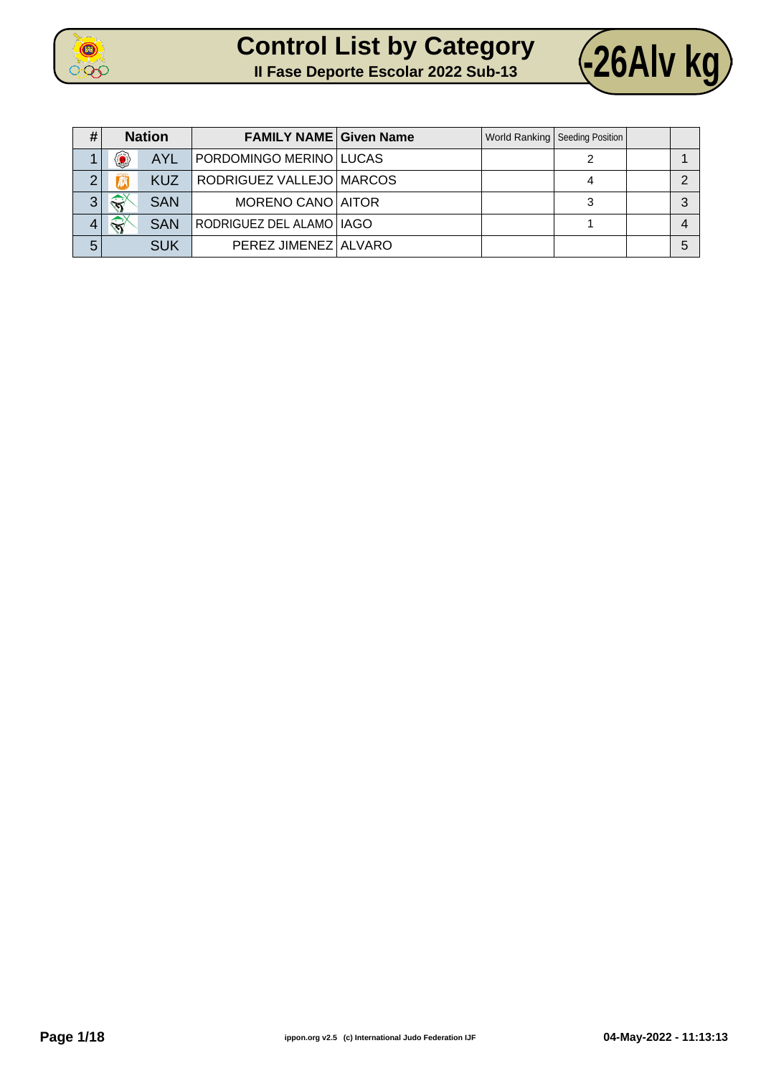



| #              |                           | <b>Nation</b> | <b>FAMILY NAME Given Name</b> |  | World Ranking   Seeding Position |  |
|----------------|---------------------------|---------------|-------------------------------|--|----------------------------------|--|
|                | ۷                         | <b>AYL</b>    | PORDOMINGO MERINO   LUCAS     |  |                                  |  |
| ◠              |                           | <b>KUZ</b>    | RODRIGUEZ VALLEJO MARCOS      |  |                                  |  |
| 3 <sub>1</sub> | $\mathbb{R}^{\mathbb{Y}}$ | <b>SAN</b>    | MORENO CANO AITOR             |  |                                  |  |
|                | $\leftrightarrow$         | <b>SAN</b>    | RODRIGUEZ DEL ALAMO   IAGO    |  |                                  |  |
| 5              |                           | <b>SUK</b>    | PEREZ JIMENEZ ALVARO          |  |                                  |  |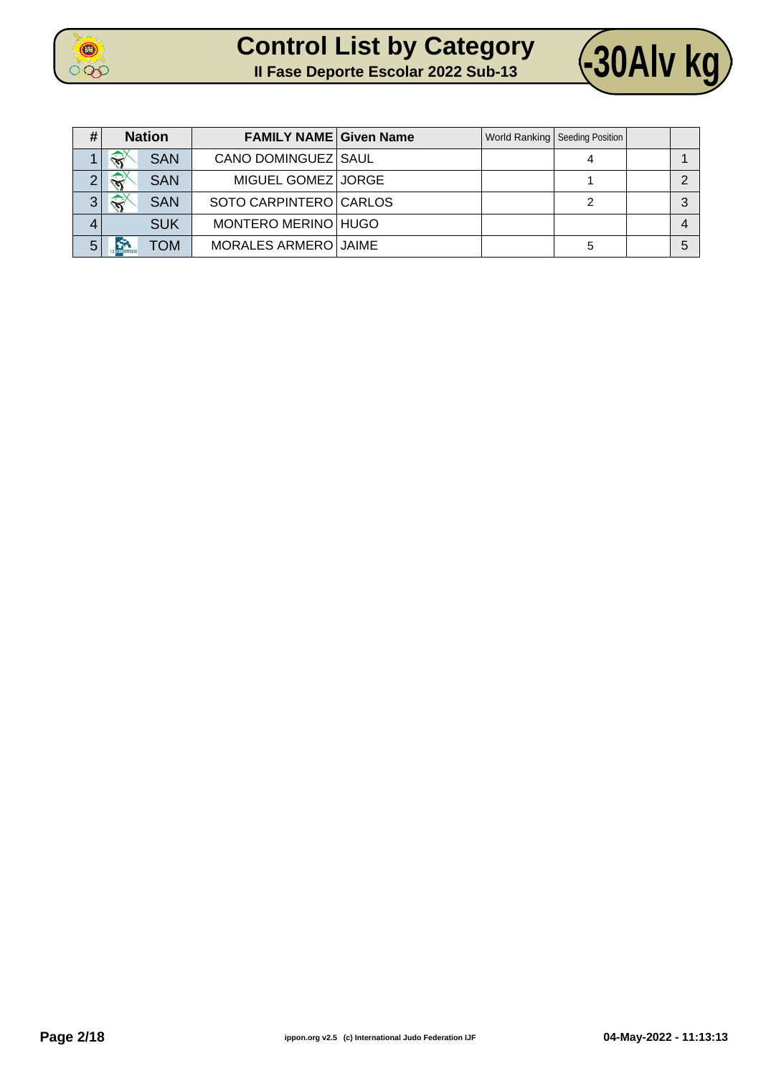



| #              | <b>Nation</b>          |            | <b>FAMILY NAME Given Name</b> |  | World Ranking   Seeding Position |   |
|----------------|------------------------|------------|-------------------------------|--|----------------------------------|---|
|                | $\widehat{\mathbf{x}}$ | <b>SAN</b> | CANO DOMINGUEZ SAUL           |  |                                  |   |
| ⌒              | $\widehat{\mathbf{x}}$ | <b>SAN</b> | MIGUEL GOMEZ JORGE            |  |                                  |   |
| 3 <sup>1</sup> | $\widehat{\mathbf{x}}$ | <b>SAN</b> | SOTO CARPINTERO CARLOS        |  |                                  | ົ |
| 4              |                        | <b>SUK</b> | MONTERO MERINO HUGO           |  |                                  |   |
| 5              |                        | <b>NOT</b> | MORALES ARMERO JAIME          |  | 5                                | 5 |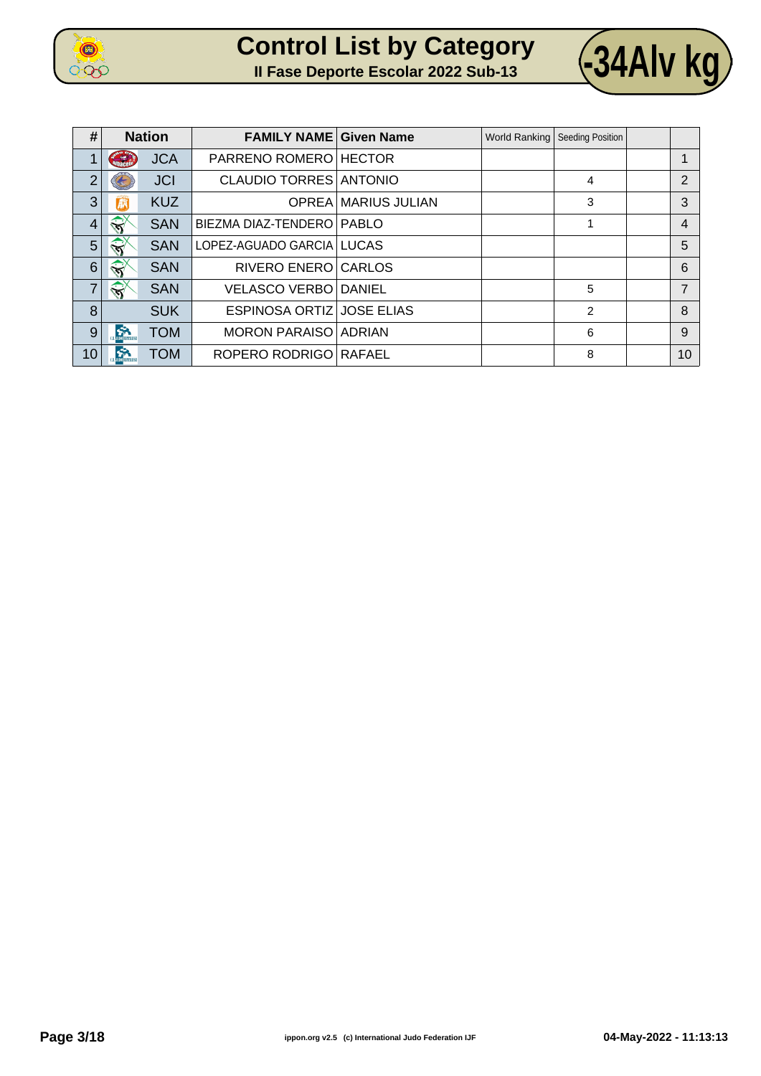

|  | <b>Control List by Category</b>            |  |
|--|--------------------------------------------|--|
|  | <b>Il Fase Deporte Escolar 2022 Sub-13</b> |  |



**II Fase Deporte Escolar 2022 Sub-13 -34Alv kg**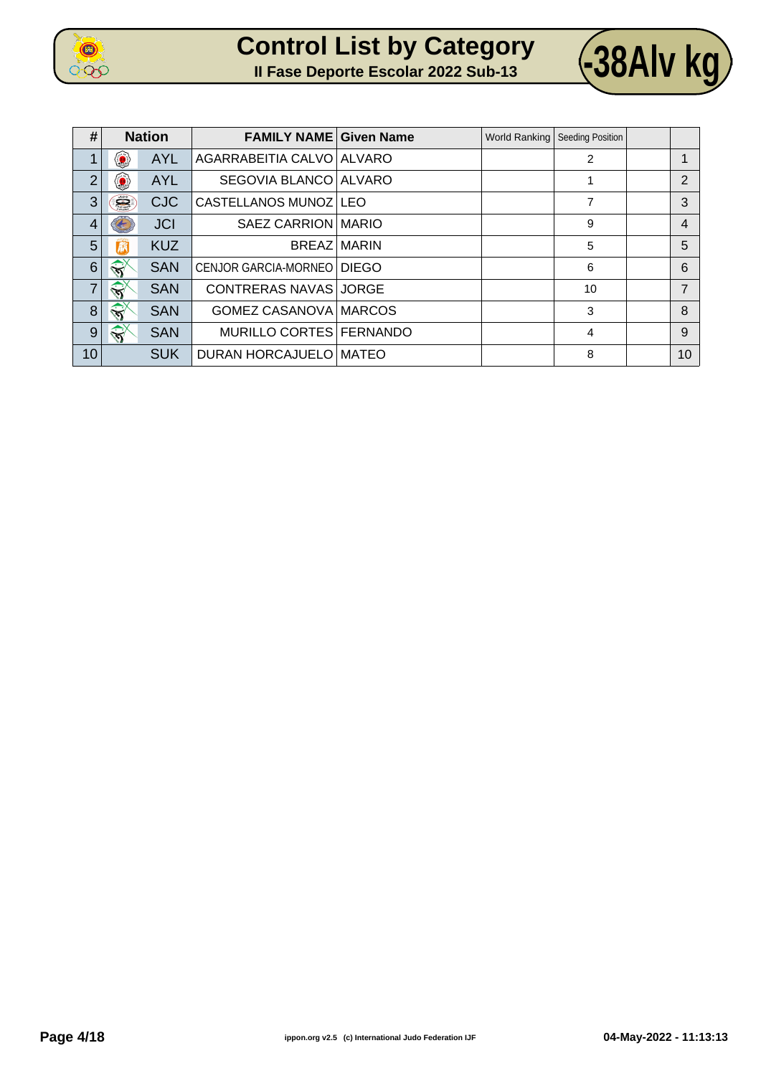

|  | <b>Control List by Category</b>            |
|--|--------------------------------------------|
|  | <b>Il Fase Deporte Escolar 2022 Sub-13</b> |



 $\sqrt{38}$ Alv kg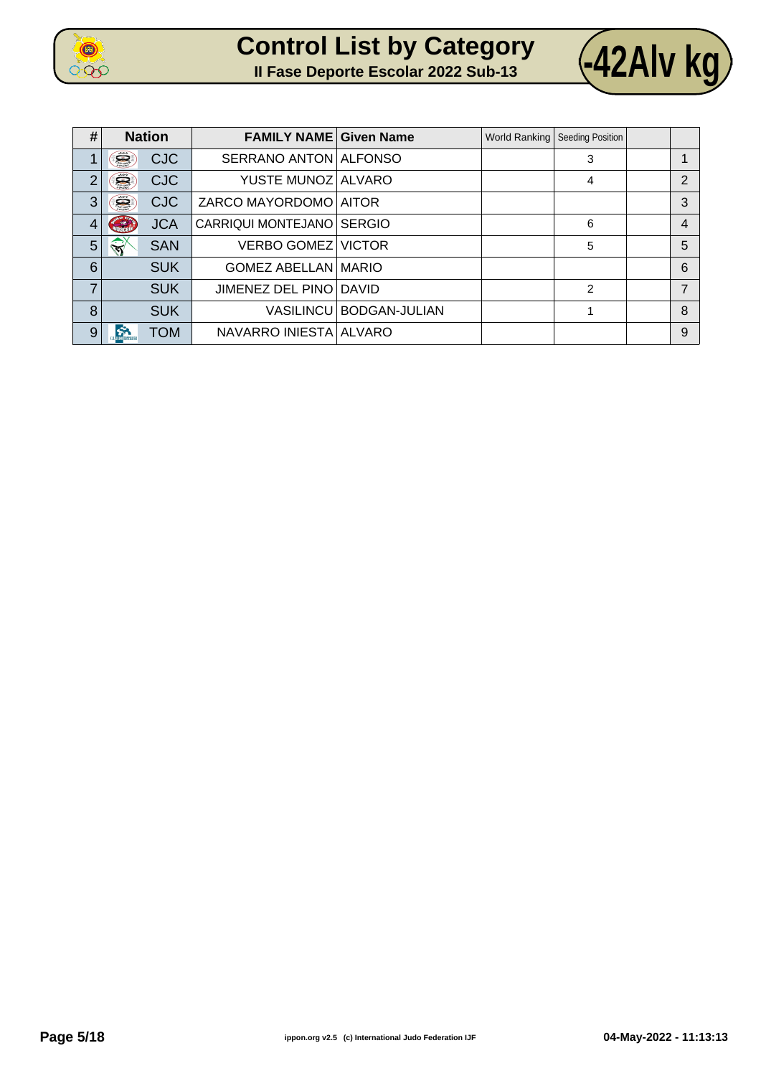

| <b>Control List by Category</b>            |  |  |  |
|--------------------------------------------|--|--|--|
| <b>Il Fase Deporte Escolar 2022 Sub-13</b> |  |  |  |



 $\sqrt{42}$ Alv kg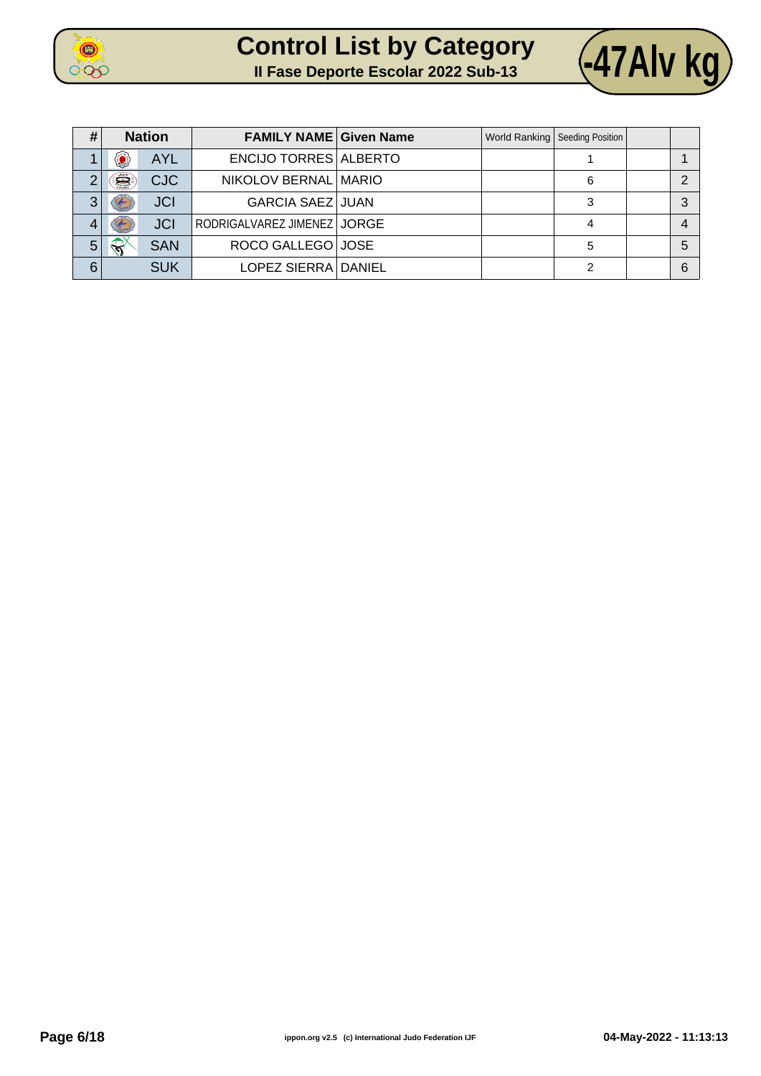



| #              |              | <b>Nation</b> | <b>FAMILY NAME Given Name</b> |  | World Ranking   Seeding Position |   |
|----------------|--------------|---------------|-------------------------------|--|----------------------------------|---|
|                | 0            | <b>AYL</b>    | <b>ENCIJO TORRES ALBERTO</b>  |  |                                  |   |
| $\overline{2}$ | Ë            | <b>CJC</b>    | NIKOLOV BERNAL MARIO          |  | 6                                | ◠ |
| 3              |              | <b>JCI</b>    | <b>GARCIA SAEZ JUAN</b>       |  | 3                                | 3 |
| 4              |              | <b>JCI</b>    | RODRIGALVAREZ JIMENEZ   JORGE |  |                                  | 4 |
| 5              | $\mathbb{R}$ | <b>SAN</b>    | ROCO GALLEGO JOSE             |  | 5                                | 5 |
| 6              |              | <b>SUK</b>    | LOPEZ SIERRA DANIEL           |  | າ                                | 6 |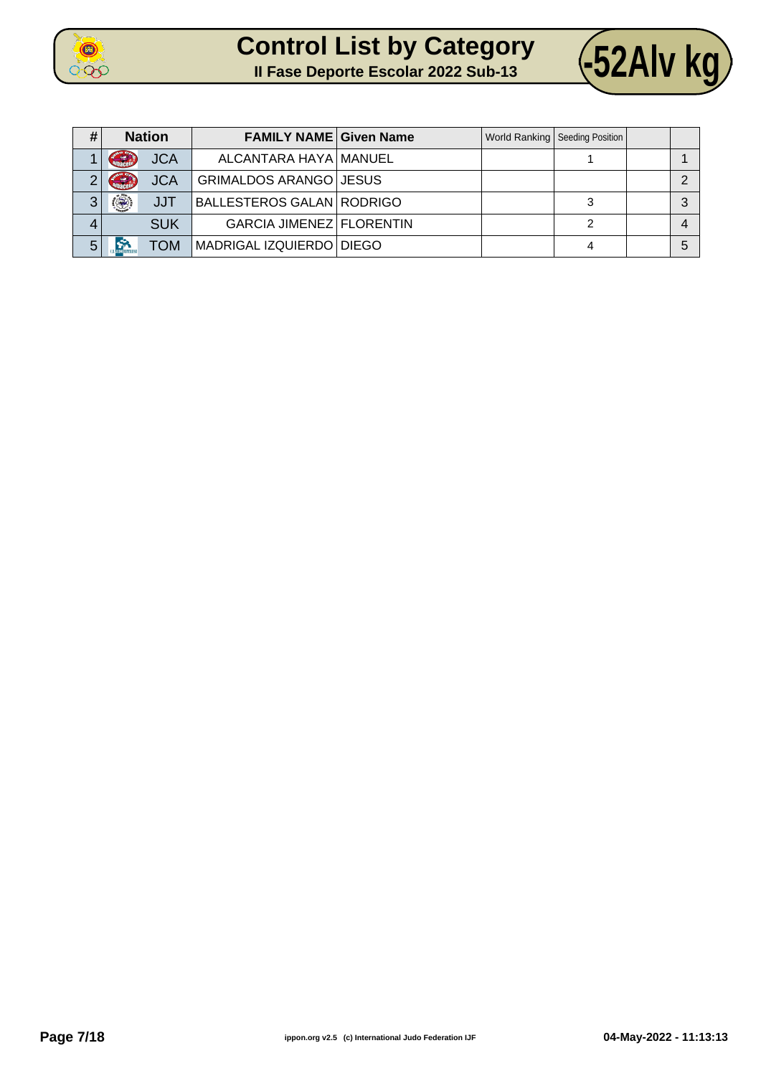



| # |                            | <b>Nation</b> | <b>FAMILY NAME Given Name</b>    |  | World Ranking   Seeding Position |  |
|---|----------------------------|---------------|----------------------------------|--|----------------------------------|--|
|   | $\epsilon$                 | <b>JCA</b>    | ALCANTARA HAYA   MANUEL          |  |                                  |  |
| າ | <b>Control</b>             | <b>JCA</b>    | GRIMALDOS ARANGO JESUS           |  |                                  |  |
| 3 | $\langle \bigcirc \rangle$ | <b>JJT</b>    | <b>BALLESTEROS GALAN RODRIGO</b> |  |                                  |  |
| 4 |                            | <b>SUK</b>    | GARCIA JIMENEZ FLORENTIN         |  |                                  |  |
| 5 |                            | <b>TOM</b>    | MADRIGAL IZQUIERDO DIEGO         |  |                                  |  |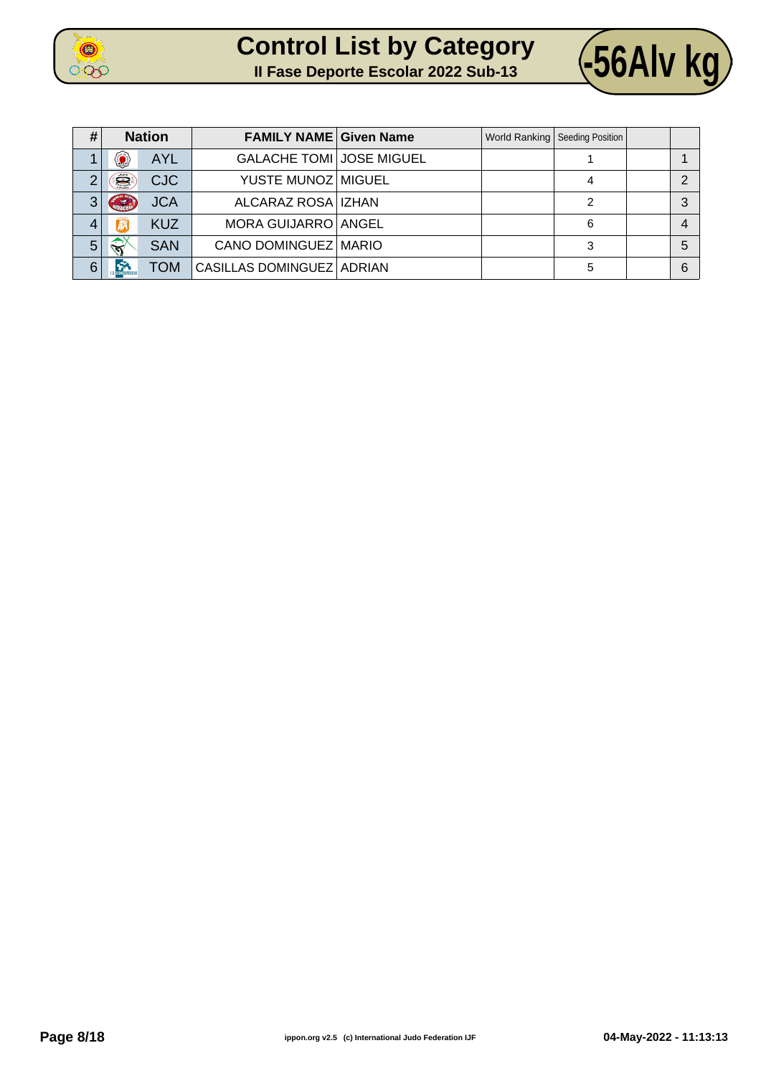



| #              |                        | <b>Nation</b> | <b>FAMILY NAME Given Name</b>   |  | World Ranking   Seeding Position |   |
|----------------|------------------------|---------------|---------------------------------|--|----------------------------------|---|
|                | ◉                      | <b>AYL</b>    | <b>GALACHE TOMI JOSE MIGUEL</b> |  |                                  |   |
| $\overline{2}$ | Ë                      | <b>CJC</b>    | YUSTE MUNOZ MIGUEL              |  |                                  | ◠ |
| 3              | <b>Sept</b>            | <b>JCA</b>    | ALCARAZ ROSA   IZHAN            |  |                                  | 3 |
| 4              |                        | <b>KUZ</b>    | MORA GUIJARRO ANGEL             |  | 6                                |   |
| 5              | $\widehat{\mathbf{x}}$ | <b>SAN</b>    | CANO DOMINGUEZ MARIO            |  | 3                                | 5 |
| 6              | S.                     | <b>NOT</b>    | CASILLAS DOMINGUEZ   ADRIAN     |  | 5                                | 6 |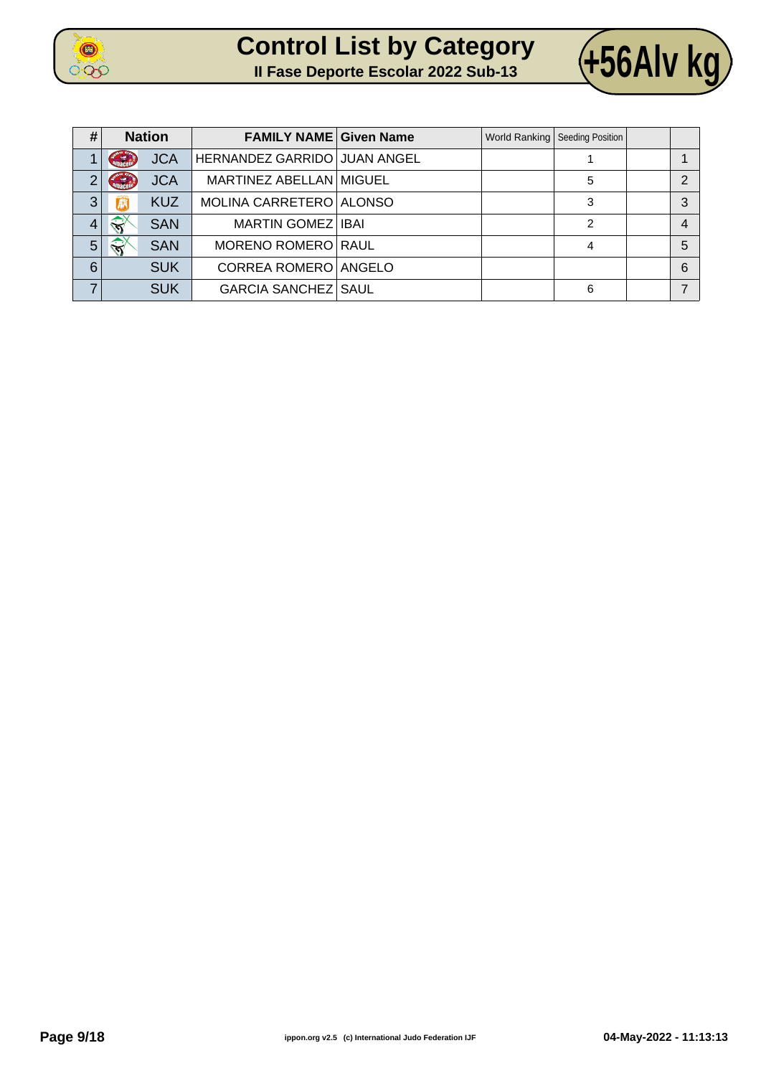

| <b>Control List by Category</b>            |  |  |
|--------------------------------------------|--|--|
| <b>Il Fase Deporte Escolar 2022 Sub-13</b> |  |  |



| # |                        | <b>Nation</b> | <b>FAMILY NAME Given Name</b> |  | World Ranking   Seeding Position |   |
|---|------------------------|---------------|-------------------------------|--|----------------------------------|---|
|   | G                      | <b>JCA</b>    | HERNANDEZ GARRIDO JUAN ANGEL  |  |                                  |   |
| 2 | <b>Control</b>         | <b>JCA</b>    | MARTINEZ ABELLAN MIGUEL       |  | 5                                | っ |
| 3 | 麻                      | <b>KUZ</b>    | MOLINA CARRETERO ALONSO       |  | 3                                | 3 |
| 4 | $\leftrightarrow$      | <b>SAN</b>    | MARTIN GOMEZ   IBAI           |  | 2                                | 4 |
| 5 | $\widehat{\mathbf{S}}$ | <b>SAN</b>    | MORENO ROMERO RAUL            |  | 4                                | 5 |
| 6 |                        | <b>SUK</b>    | CORREA ROMERO ANGELO          |  |                                  | 6 |
|   |                        | <b>SUK</b>    | <b>GARCIA SANCHEZ SAUL</b>    |  | 6                                |   |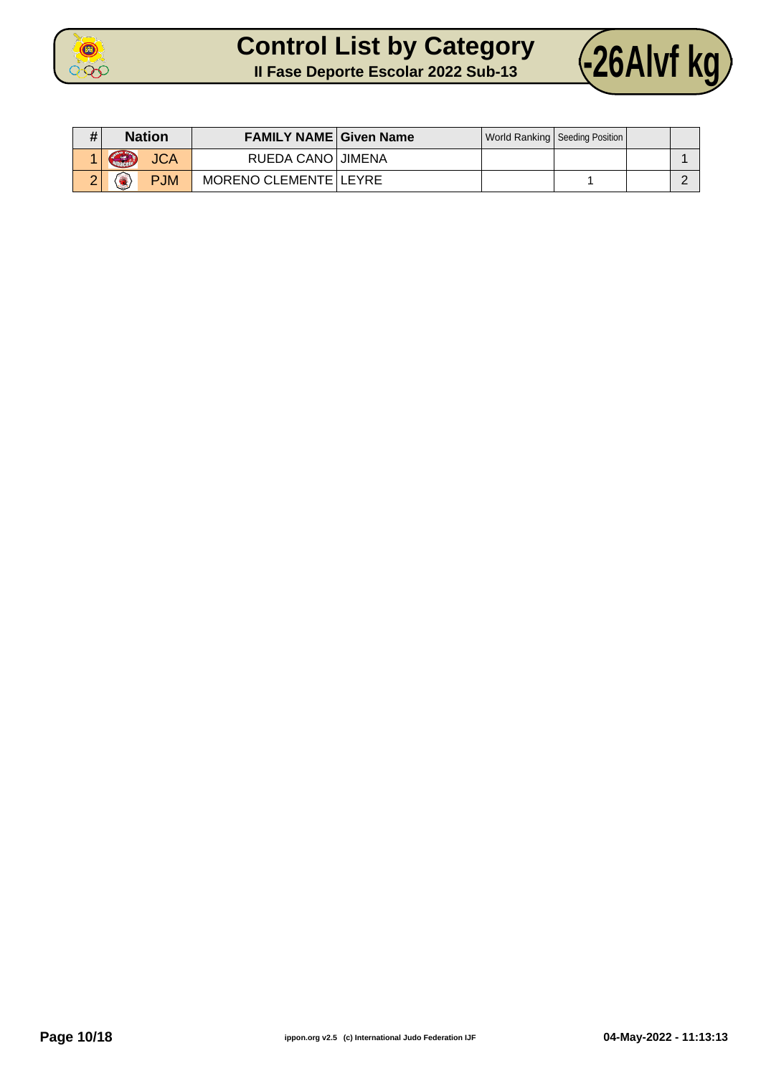



| #        | <b>Nation</b>                | <b>FAMILY NAME Given Name</b> |  | World Ranking   Seeding Position |  |
|----------|------------------------------|-------------------------------|--|----------------------------------|--|
|          | Contract<br><b>JCA</b>       | RUEDA CANO JIMENA             |  |                                  |  |
| ົ<br>. . | <b>PJM</b><br><b>Section</b> | MORENO CLEMENTE LEYRE         |  |                                  |  |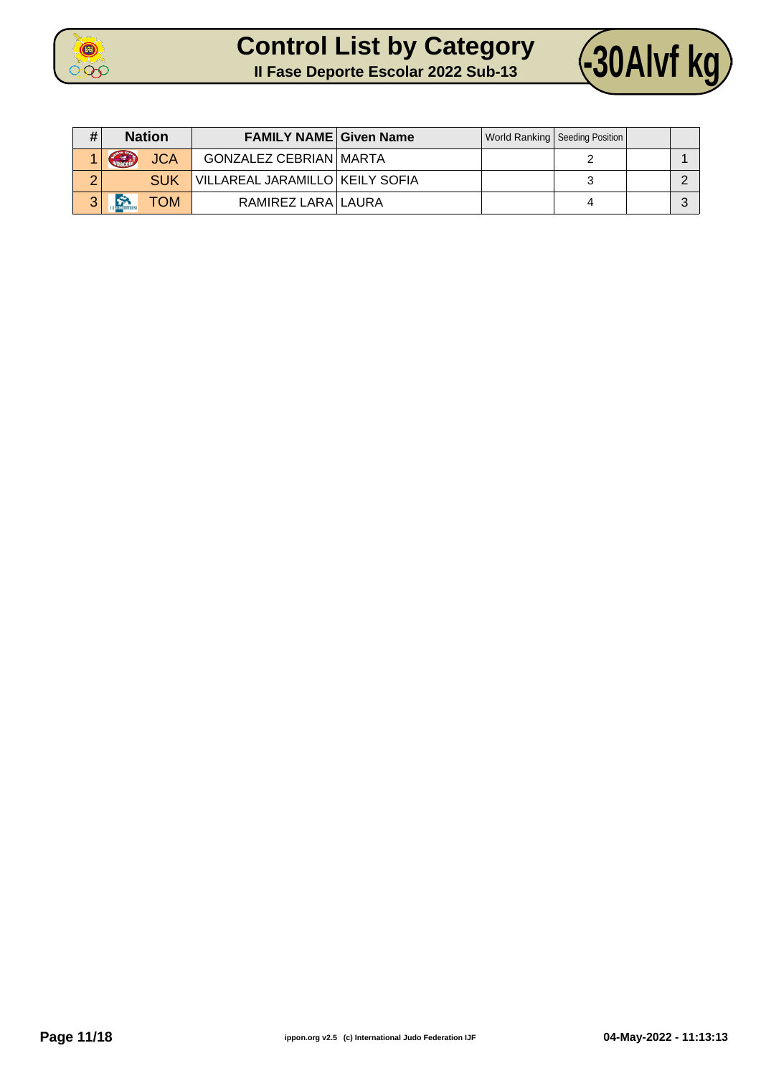



| # | <b>Nation</b>           | <b>FAMILY NAME Given Name</b>     |  | World Ranking   Seeding Position |  |
|---|-------------------------|-----------------------------------|--|----------------------------------|--|
|   | GRAN<br><b>JCA</b>      | <b>GONZALEZ CEBRIAN MARTA</b>     |  |                                  |  |
| ◠ | <b>SUK</b>              | VILLAREAL JARAMILLO   KEILY SOFIA |  |                                  |  |
| 3 | $\sum_{i=1}^{n}$<br>ГОМ | RAMIREZ LARA LAURA                |  |                                  |  |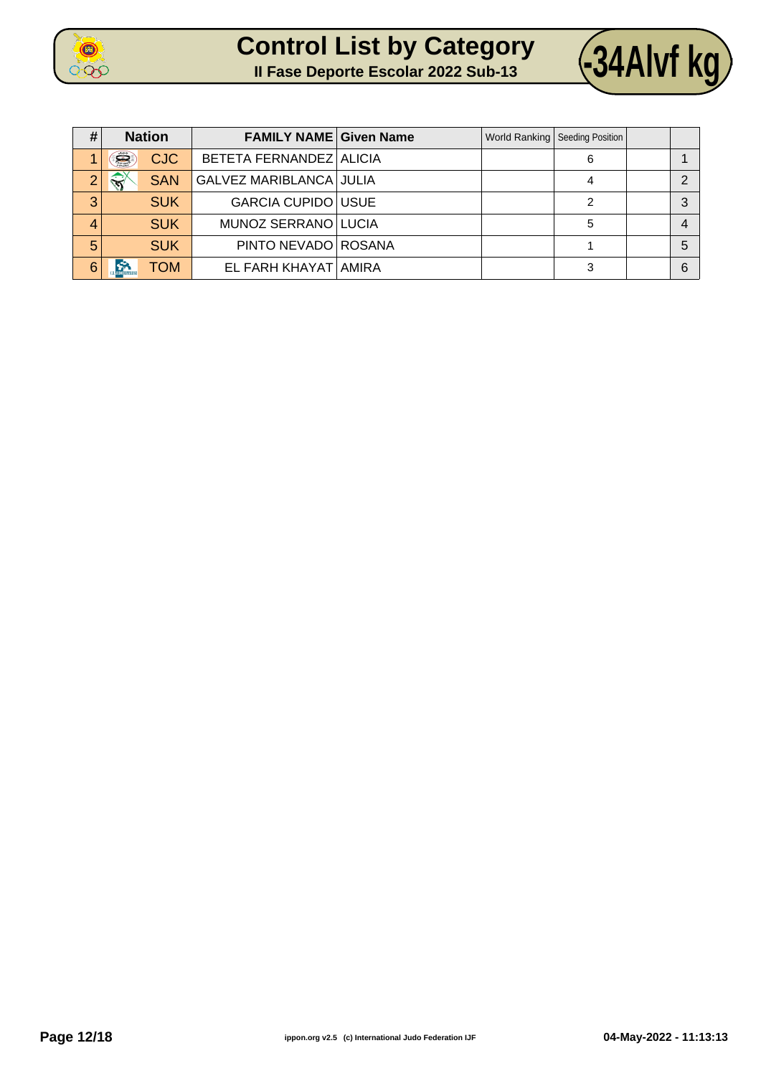





| #              | <b>Nation</b>           | <b>FAMILY NAME Given Name</b>  |  | World Ranking   Seeding Position |   |
|----------------|-------------------------|--------------------------------|--|----------------------------------|---|
|                | Š<br><b>CJC</b>         | BETETA FERNANDEZ ALICIA        |  | 6                                |   |
| $\overline{2}$ | <b>SAN</b>              | <b>GALVEZ MARIBLANCA JULIA</b> |  |                                  | ◠ |
| 3              | <b>SUK</b>              | <b>GARCIA CUPIDO USUE</b>      |  |                                  | 3 |
| 4              | <b>SUK</b>              | MUNOZ SERRANO LUCIA            |  | 5                                | 4 |
| 5              | <b>SUK</b>              | PINTO NEVADO ROSANA            |  |                                  | 5 |
| 6              | <b>RB</b><br><b>NOT</b> | EL FARH KHAYAT AMIRA           |  | 3                                | 6 |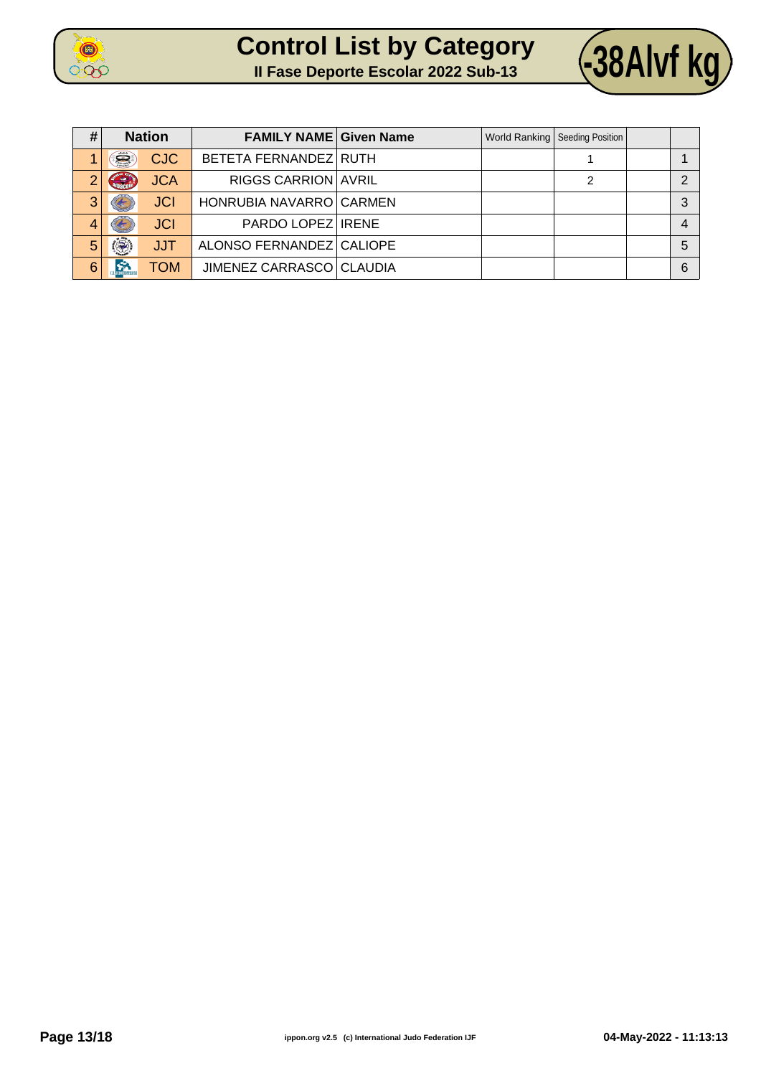

| <b>Control List by Category</b>            |  |  |
|--------------------------------------------|--|--|
| <b>Il Fase Deporte Escolar 2022 Sub-13</b> |  |  |



| #              |                       | <b>Nation</b> | <b>FAMILY NAME Given Name</b> |  | World Ranking   Seeding Position |   |
|----------------|-----------------------|---------------|-------------------------------|--|----------------------------------|---|
|                | Š                     | <b>CJC</b>    | BETETA FERNANDEZ RUTH         |  |                                  |   |
| $\overline{2}$ | G                     | <b>JCA</b>    | <b>RIGGS CARRION AVRIL</b>    |  | 2                                | ◠ |
| 3              |                       | <b>JCI</b>    | HONRUBIA NAVARRO CARMEN       |  |                                  | 3 |
| 4              |                       | <b>JCI</b>    | PARDO LOPEZ IRENE             |  |                                  |   |
| 5              |                       | <b>JJT</b>    | ALONSO FERNANDEZ CALIOPE      |  |                                  | 5 |
| 6              | $\sum_{n=1}^{\infty}$ | TOM           | JIMENEZ CARRASCO CLAUDIA      |  |                                  | 6 |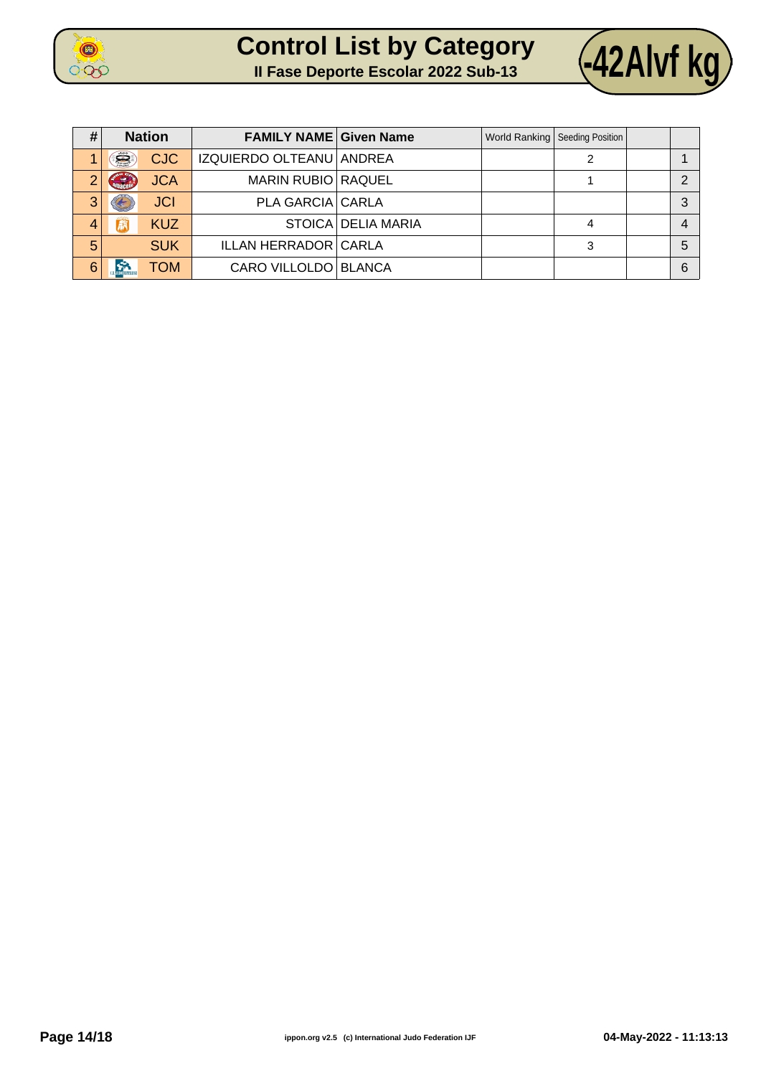

| <b>Control List by Category</b>            |  |  |
|--------------------------------------------|--|--|
| <b>Il Fase Deporte Escolar 2022 Sub-13</b> |  |  |



| #              | <b>Nation</b> |            | <b>FAMILY NAME Given Name</b> |                    | World Ranking   Seeding Position |   |
|----------------|---------------|------------|-------------------------------|--------------------|----------------------------------|---|
|                | Š             | <b>CJC</b> | IZQUIERDO OLTEANU ANDREA      |                    |                                  |   |
| $\overline{2}$ | GRA           | <b>JCA</b> | <b>MARIN RUBIO RAQUEL</b>     |                    |                                  |   |
| 3              |               | <b>JCI</b> | <b>PLA GARCIA CARLA</b>       |                    |                                  | 3 |
| 4              | 赢             | <b>KUZ</b> |                               | STOICA DELIA MARIA |                                  | 4 |
| 5              |               | <b>SUK</b> | <b>ILLAN HERRADOR CARLA</b>   |                    | 3                                | 5 |
| 6              |               | <b>TOM</b> | CARO VILLOLDO BLANCA          |                    |                                  | 6 |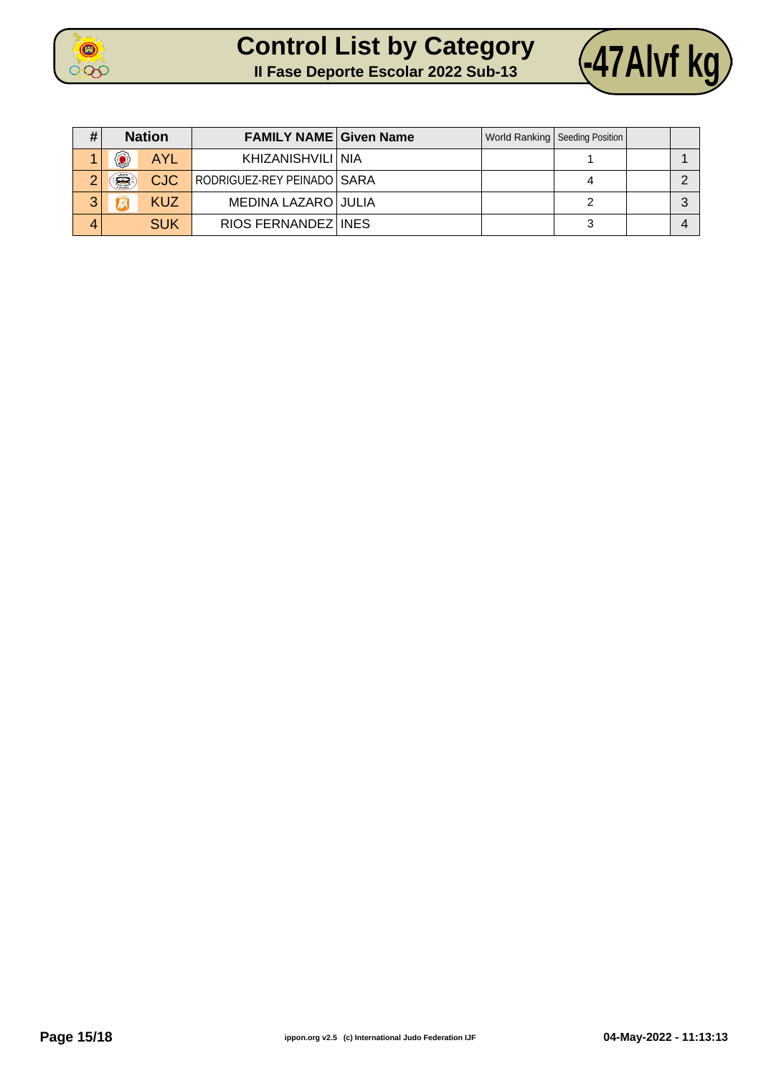



| #               | <b>Nation</b> |            | <b>FAMILY NAME Given Name</b> |  | World Ranking   Seeding Position |  |
|-----------------|---------------|------------|-------------------------------|--|----------------------------------|--|
|                 | ۵             | <b>AYL</b> | KHIZANISHVILI I NIA           |  |                                  |  |
| $\sqrt{2}$<br>∠ | Ë             | <b>CJC</b> | RODRIGUEZ-REY PEINADO   SARA  |  |                                  |  |
| 3               |               | <b>KUZ</b> | MEDINA LAZARO JULIA           |  |                                  |  |
| 4               |               | <b>SUK</b> | RIOS FERNANDEZ INES           |  | ว                                |  |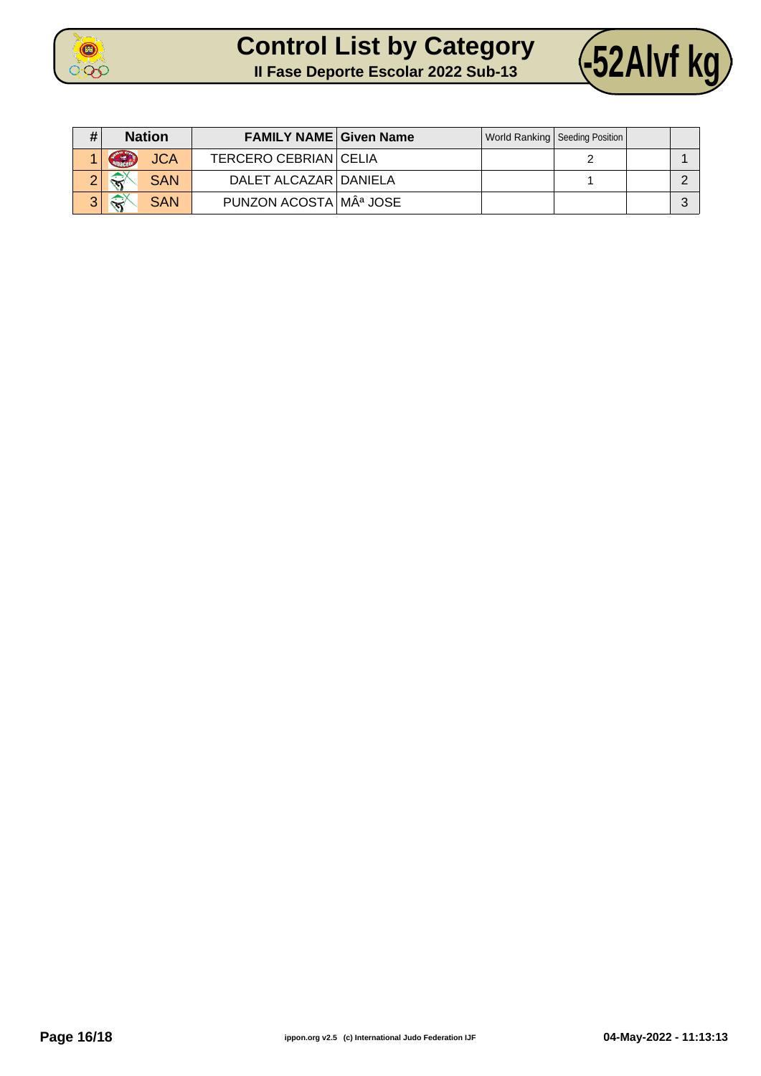



|   | <b>Nation</b>                              | <b>FAMILY NAME Given Name</b> |  | World Ranking   Seeding Position |  |
|---|--------------------------------------------|-------------------------------|--|----------------------------------|--|
|   | Cubacal<br><b>JCA</b>                      | <b>TERCERO CEBRIAN CELIA</b>  |  |                                  |  |
|   | $\left\langle \right\rangle$<br><b>SAN</b> | DALET ALCAZAR   DANIELA       |  |                                  |  |
| ◠ | $\mathbb{R}^{\mathbb{Y}}$<br><b>SAN</b>    | PUNZON ACOSTA Mª JOSE         |  |                                  |  |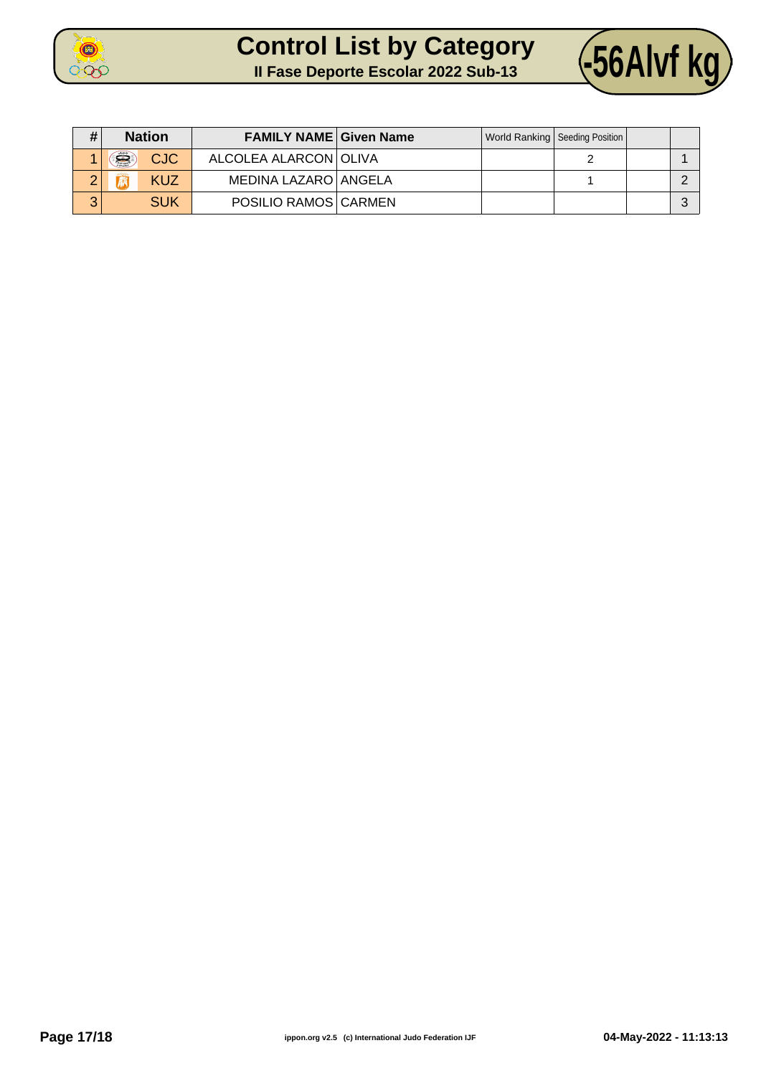



| # | <b>Nation</b>    | <b>FAMILY NAME Given Name</b> |  | World Ranking   Seeding Position |  |
|---|------------------|-------------------------------|--|----------------------------------|--|
|   | i.<br><b>CJC</b> | ALCOLEA ALARCON OLIVA         |  |                                  |  |
|   | KUZ              | MEDINA LAZARO ANGELA          |  |                                  |  |
| 3 | <b>SUK</b>       | POSILIO RAMOS CARMEN          |  |                                  |  |